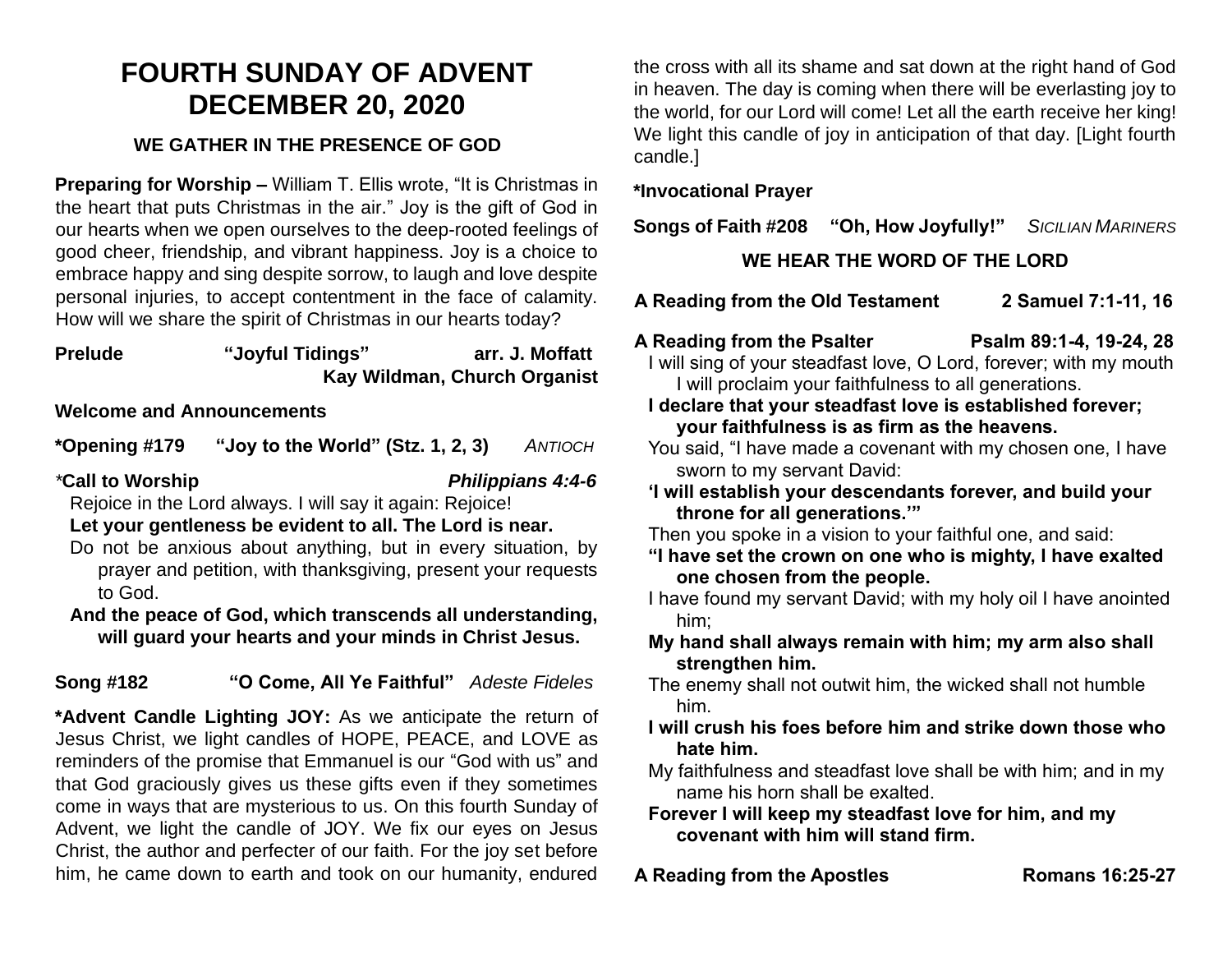# **FOURTH SUNDAY OF ADVENT DECEMBER 20, 2020**

### **WE GATHER IN THE PRESENCE OF GOD**

**Preparing for Worship –** William T. Ellis wrote, "It is Christmas in the heart that puts Christmas in the air." Joy is the gift of God in our hearts when we open ourselves to the deep-rooted feelings of good cheer, friendship, and vibrant happiness. Joy is a choice to embrace happy and sing despite sorrow, to laugh and love despite personal injuries, to accept contentment in the face of calamity. How will we share the spirit of Christmas in our hearts today?

#### **Prelude "Joyful Tidings" arr. J. Moffatt Kay Wildman, Church Organist**

#### **Welcome and Announcements**

**\*Opening #179 "Joy to the World" (Stz. 1, 2, 3)** *ANTIOCH*

### *\****Call to Worship** *Philippians 4:4-6*

Rejoice in the Lord always. I will say it again: Rejoice!

#### **Let your gentleness be evident to all. The Lord is near.**

- Do not be anxious about anything, but in every situation, by prayer and petition, with thanksgiving, present your requests to God.
- **And the peace of God, which transcends all understanding, will guard your hearts and your minds in Christ Jesus.**

# **Song #182 "O Come, All Ye Faithful"** *Adeste Fideles*

**\*Advent Candle Lighting JOY:** As we anticipate the return of Jesus Christ, we light candles of HOPE, PEACE, and LOVE as reminders of the promise that Emmanuel is our "God with us" and that God graciously gives us these gifts even if they sometimes come in ways that are mysterious to us. On this fourth Sunday of Advent, we light the candle of JOY. We fix our eyes on Jesus Christ, the author and perfecter of our faith. For the joy set before him, he came down to earth and took on our humanity, endured

the cross with all its shame and sat down at the right hand of God in heaven. The day is coming when there will be everlasting joy to the world, for our Lord will come! Let all the earth receive her king! We light this candle of joy in anticipation of that day. [Light fourth candle.]

#### **\*Invocational Prayer**

**Songs of Faith #208 "Oh, How Joyfully!"** *SICILIAN MARINERS*

# **WE HEAR THE WORD OF THE LORD**

- **A Reading from the Old Testament 2 Samuel 7:1-11, 16**
- **A Reading from the Psalter Psalm 89:1-4, 19-24, 28**

I will sing of your steadfast love, O Lord, forever; with my mouth I will proclaim your faithfulness to all generations.

- **I declare that your steadfast love is established forever; your faithfulness is as firm as the heavens.**
- You said, "I have made a covenant with my chosen one, I have sworn to my servant David:
- **'I will establish your descendants forever, and build your throne for all generations.'"**

Then you spoke in a vision to your faithful one, and said:

- **"I have set the crown on one who is mighty, I have exalted one chosen from the people.**
- I have found my servant David; with my holy oil I have anointed him;
- **My hand shall always remain with him; my arm also shall strengthen him.**
- The enemy shall not outwit him, the wicked shall not humble him.
- **I will crush his foes before him and strike down those who hate him.**
- My faithfulness and steadfast love shall be with him; and in my name his horn shall be exalted.
- **Forever I will keep my steadfast love for him, and my covenant with him will stand firm.**
- **A Reading from the Apostles Romans 16:25-27**